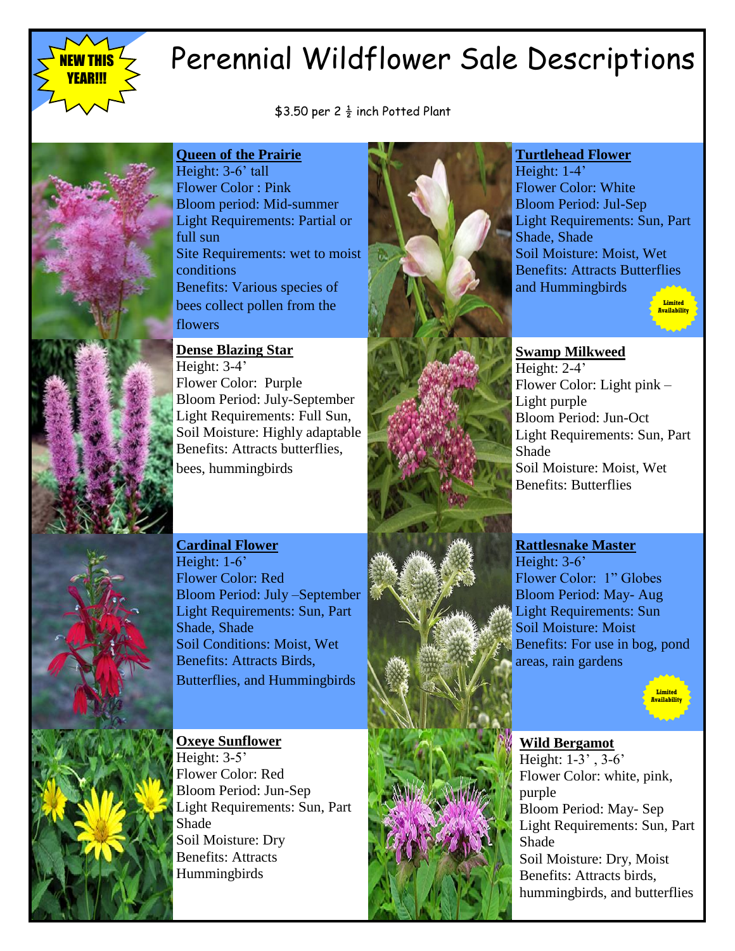

# Perennial Wildflower Sale Descriptions

\$3.50 per 2  $\frac{1}{2}$  inch Potted Plant



**Queen of the Prairie** Height: 3-6' tall Flower Color : Pink Bloom period: Mid-summer Light Requirements: Partial or full sun Site Requirements: wet to moist conditions Benefits: Various species of bees collect pollen from the flowers

**Dense Blazing Star** 

Height: 3-4' Flower Color: Purple Bloom Period: July-September Light Requirements: Full Sun, Soil Moisture: Highly adaptable Benefits: Attracts butterflies, bees, hummingbirds



#### **Turtlehead Flower**

Height: 1-4' Flower Color: White Bloom Period: Jul-Sep Light Requirements: Sun, Part Shade, Shade Soil Moisture: Moist, Wet Benefits: Attracts Butterflies and Hummingbirds



# **Swamp Milkweed**

Height: 2-4' Flower Color: Light pink – Light purple Bloom Period: Jun-Oct Light Requirements: Sun, Part Shade Soil Moisture: Moist, Wet Benefits: Butterflies

## **Cardinal Flower**

Height: 1-6<sup>'</sup> Flower Color: Red Bloom Period: July –September Light Requirements: Sun, Part Shade, Shade Soil Conditions: Moist, Wet Benefits: Attracts Birds, Butterflies, and Hummingbirds

**Oxeye Sunflower** Height: 3-5' Flower Color: Red Bloom Period: Jun-Sep Light Requirements: Sun, Part Shade Soil Moisture: Dry Benefits: Attracts Hummingbirds



#### **Rattlesnake Master**

Height: 3-6' Flower Color: 1" Globes Bloom Period: May- Aug Light Requirements: Sun Soil Moisture: Moist Benefits: For use in bog, pond areas, rain gardens



### **Wild Bergamot**

Height: 1-3' , 3-6' Flower Color: white, pink, purple Bloom Period: May- Sep Light Requirements: Sun, Part Shade Soil Moisture: Dry, Moist Benefits: Attracts birds, hummingbirds, and butterflies